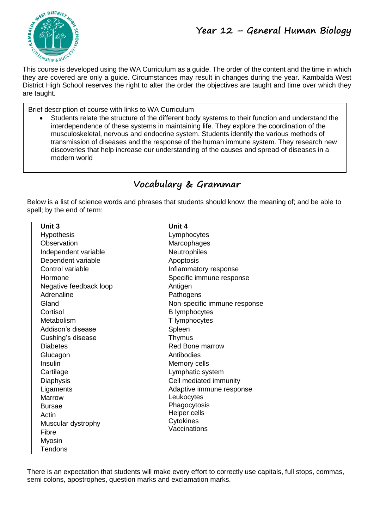

This course is developed using the WA Curriculum as a guide. The order of the content and the time in which they are covered are only a guide. Circumstances may result in changes during the year. Kambalda West District High School reserves the right to alter the order the objectives are taught and time over which they are taught.

Brief description of course with links to WA Curriculum

 Students relate the structure of the different body systems to their function and understand the interdependence of these systems in maintaining life. They explore the coordination of the musculoskeletal, nervous and endocrine system. Students identify the various methods of transmission of diseases and the response of the human immune system. They research new discoveries that help increase our understanding of the causes and spread of diseases in a modern world

# **Vocabulary & Grammar**

Below is a list of science words and phrases that students should know: the meaning of; and be able to spell; by the end of term:

| Unit 3                 | Unit 4                       |
|------------------------|------------------------------|
| <b>Hypothesis</b>      | Lymphocytes                  |
| Observation            | Marcophages                  |
| Independent variable   | Neutrophiles                 |
| Dependent variable     | Apoptosis                    |
| Control variable       | Inflammatory response        |
| Hormone                | Specific immune response     |
| Negative feedback loop | Antigen                      |
| Adrenaline             | Pathogens                    |
| Gland                  | Non-specific immune response |
| Cortisol               | <b>B</b> lymphocytes         |
| Metabolism             | T lymphocytes                |
| Addison's disease      | Spleen                       |
| Cushing's disease      | Thymus                       |
| <b>Diabetes</b>        | <b>Red Bone marrow</b>       |
| Glucagon               | Antibodies                   |
| Insulin                | Memory cells                 |
| Cartilage              | Lymphatic system             |
| <b>Diaphysis</b>       | Cell mediated immunity       |
| Ligaments              | Adaptive immune response     |
| Marrow                 | Leukocytes                   |
| <b>Bursae</b>          | Phagocytosis                 |
| Actin                  | Helper cells                 |
| Muscular dystrophy     | Cytokines<br>Vaccinations    |
| Fibre                  |                              |
| Myosin                 |                              |
| Tendons                |                              |

There is an expectation that students will make every effort to correctly use capitals, full stops, commas, semi colons, apostrophes, question marks and exclamation marks.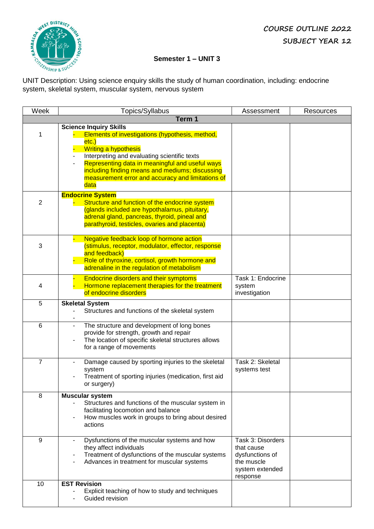

### **Semester 1 – UNIT 3**

**Semester Transfersor Semester I** – **UNIT**<br>UNIT Description: Using science enquiry skills the study of human coordination, including: endocrine system, skeletal system, muscular system, nervous system

| Week                | Topics/Syllabus                                                                                                                                                                                                                                                                                                                                                                                                          | Assessment                                                                                      | <b>Resources</b> |  |
|---------------------|--------------------------------------------------------------------------------------------------------------------------------------------------------------------------------------------------------------------------------------------------------------------------------------------------------------------------------------------------------------------------------------------------------------------------|-------------------------------------------------------------------------------------------------|------------------|--|
|                     | Term 1                                                                                                                                                                                                                                                                                                                                                                                                                   |                                                                                                 |                  |  |
| 1<br>$\overline{2}$ | <b>Science Inquiry Skills</b><br>Elements of investigations (hypothesis, method,<br>etc.)<br><b>Writing a hypothesis</b><br>Interpreting and evaluating scientific texts<br>Representing data in meaningful and useful ways<br>including finding means and mediums; discussing<br>measurement error and accuracy and limitations of<br>data<br><b>Endocrine System</b><br>Structure and function of the endocrine system |                                                                                                 |                  |  |
|                     | (glands included are hypothalamus, pituitary,<br>adrenal gland, pancreas, thyroid, pineal and<br>parathyroid, testicles, ovaries and placenta)<br>Negative feedback loop of hormone action                                                                                                                                                                                                                               |                                                                                                 |                  |  |
| 3                   | (stimulus, receptor, modulator, effector, response<br>and feedback)<br>Role of thyroxine, cortisol, growth hormone and<br>adrenaline in the regulation of metabolism                                                                                                                                                                                                                                                     |                                                                                                 |                  |  |
| 4                   | <b>Endocrine disorders and their symptoms</b><br>Hormone replacement therapies for the treatment<br>of endocrine disorders                                                                                                                                                                                                                                                                                               | Task 1: Endocrine<br>system<br>investigation                                                    |                  |  |
| 5                   | <b>Skeletal System</b><br>Structures and functions of the skeletal system                                                                                                                                                                                                                                                                                                                                                |                                                                                                 |                  |  |
| 6                   | The structure and development of long bones<br>provide for strength, growth and repair<br>The location of specific skeletal structures allows<br>for a range of movements                                                                                                                                                                                                                                                |                                                                                                 |                  |  |
| $\overline{7}$      | Damage caused by sporting injuries to the skeletal<br>system<br>Treatment of sporting injuries (medication, first aid<br>or surgery)                                                                                                                                                                                                                                                                                     | Task 2: Skeletal<br>systems test                                                                |                  |  |
| 8                   | <b>Muscular system</b><br>Structures and functions of the muscular system in<br>facilitating locomotion and balance<br>How muscles work in groups to bring about desired<br>actions                                                                                                                                                                                                                                      |                                                                                                 |                  |  |
| 9                   | Dysfunctions of the muscular systems and how<br>they affect individuals<br>Treatment of dysfunctions of the muscular systems<br>Advances in treatment for muscular systems                                                                                                                                                                                                                                               | Task 3: Disorders<br>that cause<br>dysfunctions of<br>the muscle<br>system extended<br>response |                  |  |
| 10                  | <b>EST Revision</b><br>Explicit teaching of how to study and techniques<br>Guided revision                                                                                                                                                                                                                                                                                                                               |                                                                                                 |                  |  |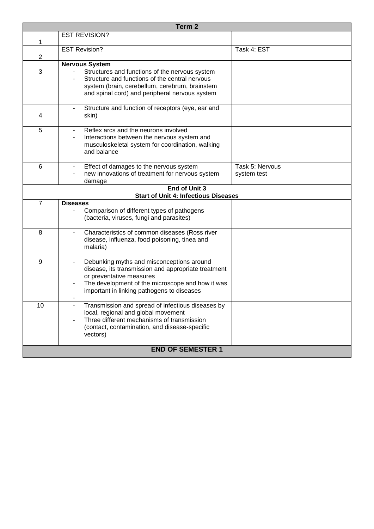| Term <sub>2</sub> |                                                                                                                                                                                                                                |                                |  |
|-------------------|--------------------------------------------------------------------------------------------------------------------------------------------------------------------------------------------------------------------------------|--------------------------------|--|
|                   | <b>EST REVISION?</b>                                                                                                                                                                                                           |                                |  |
| 1                 |                                                                                                                                                                                                                                |                                |  |
| $\overline{2}$    | <b>EST Revision?</b>                                                                                                                                                                                                           | Task 4: EST                    |  |
|                   | <b>Nervous System</b>                                                                                                                                                                                                          |                                |  |
| 3                 | Structures and functions of the nervous system<br>Structure and functions of the central nervous<br>system (brain, cerebellum, cerebrum, brainstem<br>and spinal cord) and peripheral nervous system                           |                                |  |
| 4                 | Structure and function of receptors (eye, ear and<br>skin)                                                                                                                                                                     |                                |  |
| 5                 | Reflex arcs and the neurons involved<br>$\sim$<br>Interactions between the nervous system and<br>$\blacksquare$<br>musculoskeletal system for coordination, walking<br>and balance                                             |                                |  |
| $6\phantom{1}6$   | Effect of damages to the nervous system<br>$\blacksquare$<br>new innovations of treatment for nervous system<br>damage                                                                                                         | Task 5: Nervous<br>system test |  |
|                   | End of Unit 3                                                                                                                                                                                                                  |                                |  |
|                   | <b>Start of Unit 4: Infectious Diseases</b>                                                                                                                                                                                    |                                |  |
| $\overline{7}$    | <b>Diseases</b><br>Comparison of different types of pathogens<br>(bacteria, viruses, fungi and parasites)                                                                                                                      |                                |  |
| 8                 | Characteristics of common diseases (Ross river<br>disease, influenza, food poisoning, tinea and<br>malaria)                                                                                                                    |                                |  |
| 9                 | Debunking myths and misconceptions around<br>disease, its transmission and appropriate treatment<br>or preventative measures<br>The development of the microscope and how it was<br>important in linking pathogens to diseases |                                |  |
| 10                | Transmission and spread of infectious diseases by<br>local, regional and global movement<br>Three different mechanisms of transmission<br>(contact, contamination, and disease-specific<br>vectors)                            |                                |  |
|                   | <b>END OF SEMESTER 1</b>                                                                                                                                                                                                       |                                |  |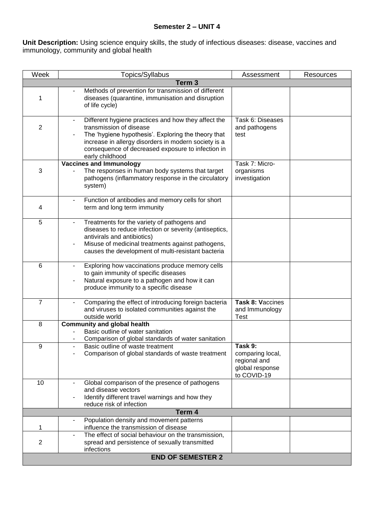## **Semester 2 – UNIT 4**

**Unit Description:** Using science enquiry skills, the study of infectious diseases: disease, vaccines and immunology, community and global health

| Week           | Topics/Syllabus                                                                                                                                                                                                                                                       | Assessment                                                                    | <b>Resources</b> |
|----------------|-----------------------------------------------------------------------------------------------------------------------------------------------------------------------------------------------------------------------------------------------------------------------|-------------------------------------------------------------------------------|------------------|
|                | Term <sub>3</sub>                                                                                                                                                                                                                                                     |                                                                               |                  |
| 1              | Methods of prevention for transmission of different<br>diseases (quarantine, immunisation and disruption<br>of life cycle)                                                                                                                                            |                                                                               |                  |
| $\overline{2}$ | Different hygiene practices and how they affect the<br>transmission of disease<br>The 'hygiene hypothesis'. Exploring the theory that<br>increase in allergy disorders in modern society is a<br>consequence of decreased exposure to infection in<br>early childhood | Task 6: Diseases<br>and pathogens<br>test                                     |                  |
|                | <b>Vaccines and Immunology</b>                                                                                                                                                                                                                                        | Task 7: Micro-                                                                |                  |
| 3              | The responses in human body systems that target<br>pathogens (inflammatory response in the circulatory<br>system)                                                                                                                                                     | organisms<br>investigation                                                    |                  |
| 4              | Function of antibodies and memory cells for short<br>term and long term immunity                                                                                                                                                                                      |                                                                               |                  |
| 5              | Treatments for the variety of pathogens and<br>diseases to reduce infection or severity (antiseptics,<br>antivirals and antibiotics)<br>Misuse of medicinal treatments against pathogens,<br>causes the development of multi-resistant bacteria                       |                                                                               |                  |
| $\,6$          | Exploring how vaccinations produce memory cells<br>$\blacksquare$<br>to gain immunity of specific diseases<br>Natural exposure to a pathogen and how it can<br>produce immunity to a specific disease                                                                 |                                                                               |                  |
| $\overline{7}$ | Comparing the effect of introducing foreign bacteria<br>and viruses to isolated communities against the<br>outside world                                                                                                                                              | Task 8: Vaccines<br>and Immunology<br><b>Test</b>                             |                  |
| 8              | <b>Community and global health</b><br>Basic outline of water sanitation<br>Comparison of global standards of water sanitation                                                                                                                                         |                                                                               |                  |
| 9              | Basic outline of waste treatment<br>Comparison of global standards of waste treatment                                                                                                                                                                                 | Task 9:<br>comparing local,<br>regional and<br>global response<br>to COVID-19 |                  |
| 10             | Global comparison of the presence of pathogens<br>and disease vectors<br>Identify different travel warnings and how they<br>reduce risk of infection                                                                                                                  |                                                                               |                  |
|                | Term 4                                                                                                                                                                                                                                                                |                                                                               |                  |
| 1              | Population density and movement patterns<br>influence the transmission of disease                                                                                                                                                                                     |                                                                               |                  |
| 2              | The effect of social behaviour on the transmission,<br>spread and persistence of sexually transmitted<br>infections                                                                                                                                                   |                                                                               |                  |
|                | <b>END OF SEMESTER 2</b>                                                                                                                                                                                                                                              |                                                                               |                  |